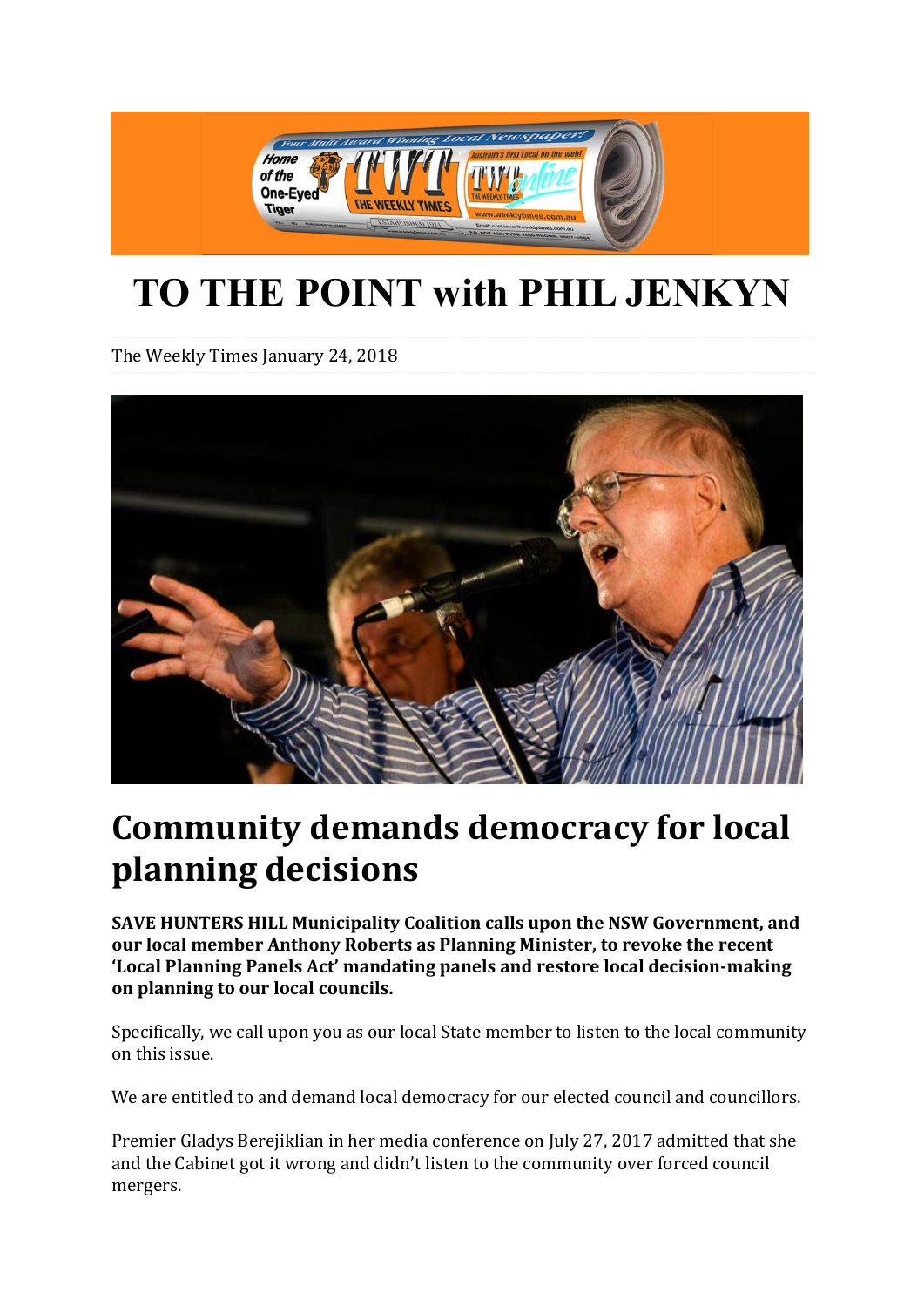

## **TO THE POINT with PHIL JENKYN**

The Weekly Times [January](http://www.weeklytimes.com.au/2018/01/) 24, 2018



## **Community demands democracy for local planning decisions**

**SAVE HUNTERS HILL Municipality Coalition calls upon the NSW Government, and our local member Anthony Roberts as Planning Minister, to revoke the recent 'Local Planning Panels Act' mandating panels and restore local decision-making on planning to our local councils.**

Specifically, we call upon you as our local State member to listen to the local community on this issue.

We are entitled to and demand local democracy for our elected council and councillors.

Premier Gladys Berejiklian in her media conference on July 27, 2017 admitted that she and the Cabinet got it wrong and didn't listen to the community over forced council mergers.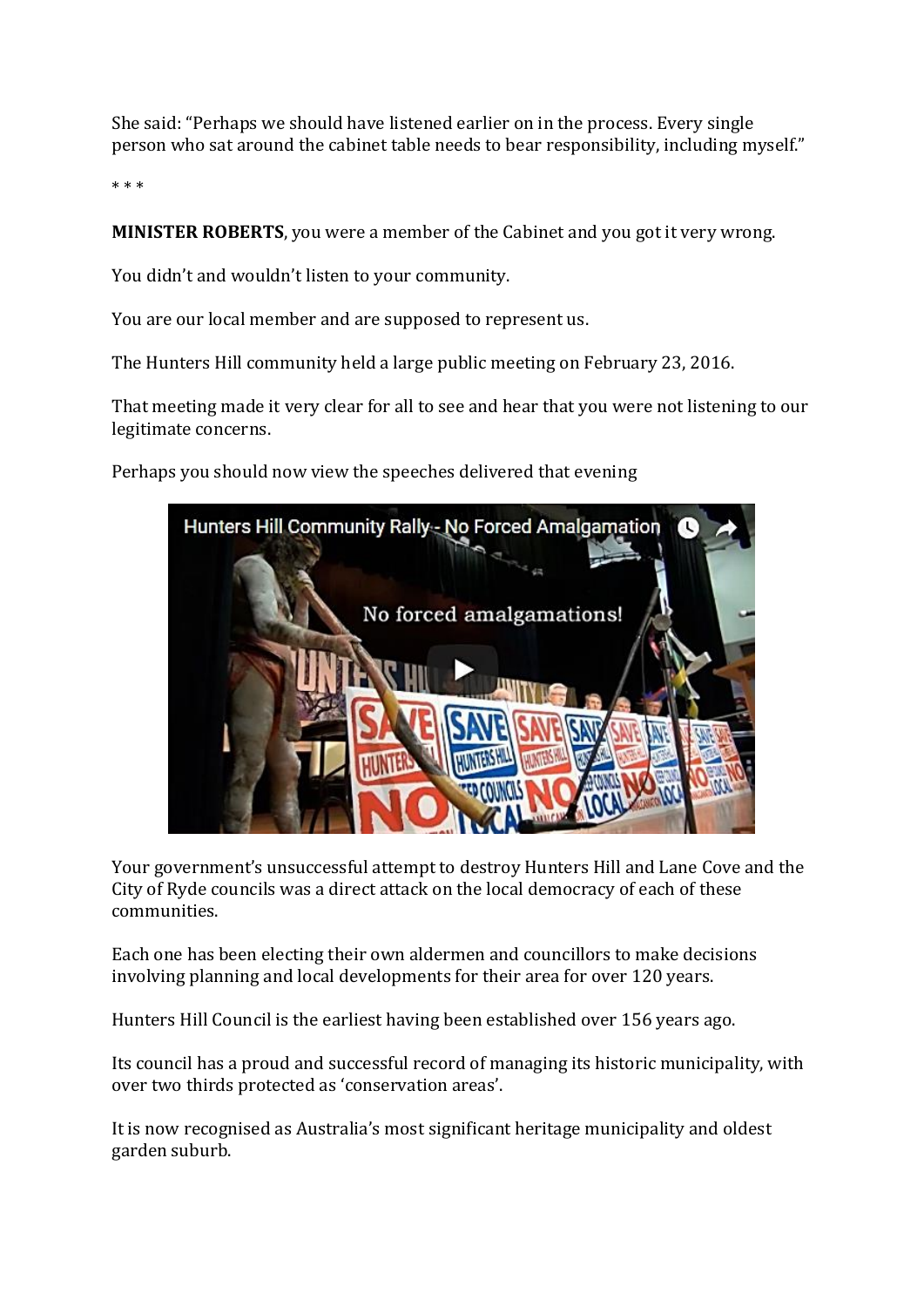She said: "Perhaps we should have listened earlier on in the process. Every single person who sat around the cabinet table needs to bear responsibility, including myself."

\* \* \*

**MINISTER ROBERTS**, you were a member of the Cabinet and you got it very wrong.

You didn't and wouldn't listen to your community.

You are our local member and are supposed to represent us.

The Hunters Hill community held a large public meeting on February 23, 2016.

That meeting made it very clear for all to see and hear that you were not listening to our legitimate concerns.

Perhaps you should now view the speeches delivered that evening



Your government's unsuccessful attempt to destroy Hunters Hill and Lane Cove and the City of Ryde councils was a direct attack on the local democracy of each of these communities.

Each one has been electing their own aldermen and councillors to make decisions involving planning and local developments for their area for over 120 years.

Hunters Hill Council is the earliest having been established over 156 years ago.

Its council has a proud and successful record of managing its historic municipality, with over two thirds protected as 'conservation areas'.

It is now recognised as Australia's most significant heritage municipality and oldest garden suburb.